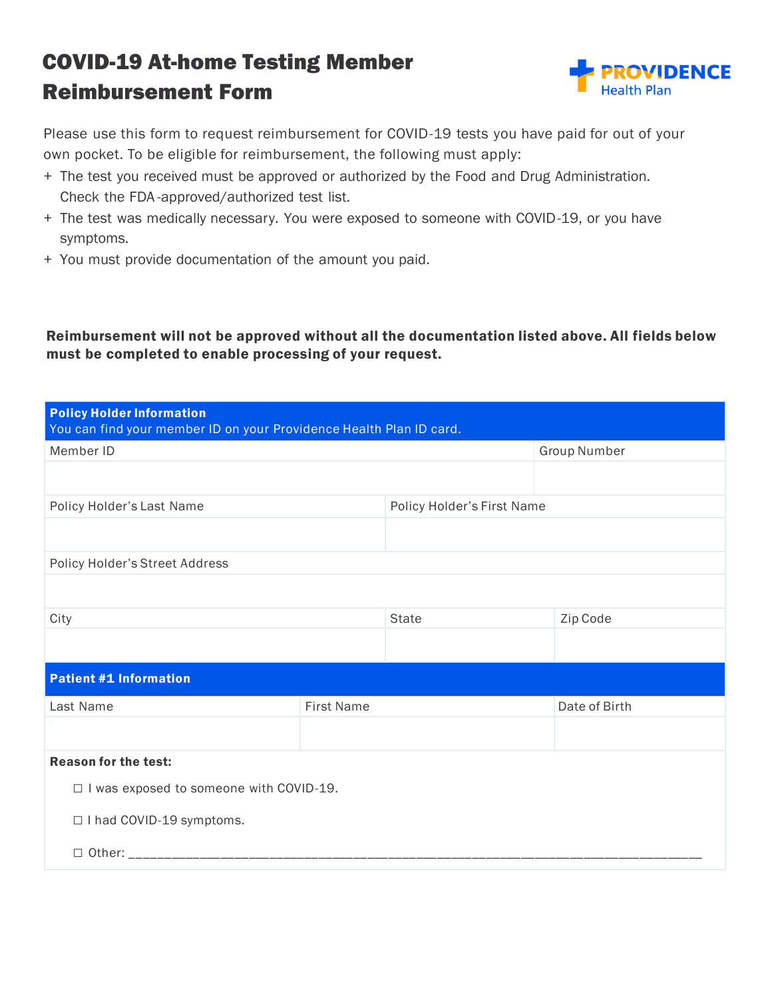## COVID-19 At-home Testing Member Reimbursement Form



Please use this form to request reimbursement for COVID-19 tests you have paid for out of your own pocket. To be eligible for reimbursement, the following must apply:

- + The test you received must be approved or authorized by the Food and Drug Administration. Check the FDA -approved/authorized test list.
- + The test was medically necessary. You were exposed to someone with COVID-19, or you have symptoms.
- + You must provide documentation of the amount you paid.

Reimbursement will not be approved without all the documentation listed above. All fields below must be completed to enable processing of your request.

| <b>Policy Holder Information</b><br>You can find your member ID on your Providence Health Plan ID card. |                   |                            |                     |  |
|---------------------------------------------------------------------------------------------------------|-------------------|----------------------------|---------------------|--|
| Member ID                                                                                               |                   |                            | <b>Group Number</b> |  |
|                                                                                                         |                   |                            |                     |  |
| Policy Holder's Last Name                                                                               |                   | Policy Holder's First Name |                     |  |
|                                                                                                         |                   |                            |                     |  |
| Policy Holder's Street Address                                                                          |                   |                            |                     |  |
|                                                                                                         |                   |                            |                     |  |
| City                                                                                                    |                   | <b>State</b>               | Zip Code            |  |
|                                                                                                         |                   |                            |                     |  |
| <b>Patient #1 Information</b>                                                                           |                   |                            |                     |  |
| Last Name                                                                                               | <b>First Name</b> |                            | Date of Birth       |  |
|                                                                                                         |                   |                            |                     |  |
| <b>Reason for the test:</b>                                                                             |                   |                            |                     |  |
| □ I was exposed to someone with COVID-19.                                                               |                   |                            |                     |  |
| □ I had COVID-19 symptoms.                                                                              |                   |                            |                     |  |
|                                                                                                         |                   |                            |                     |  |